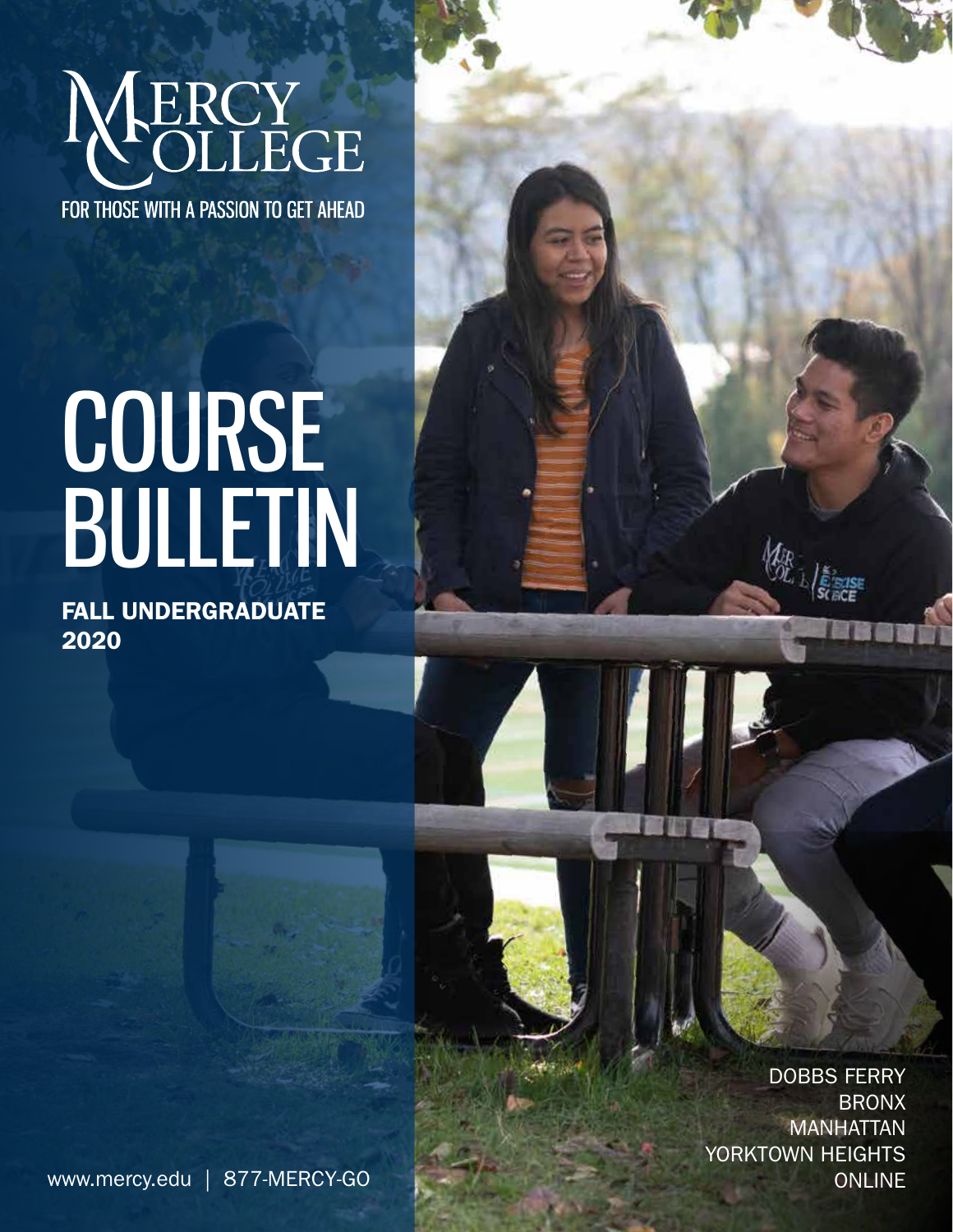# ERCY

FOR THOSE WITH A PASSION TO GET AHEAD

## COURSE **BULLETIN**

FALL UNDERGRADUATE 2020

> DOBBS FERRY BRONX **MANHATTAN** YORKTOWN HEIGHTS

www.mercy.edu | 877-MERCY-GO ONLINE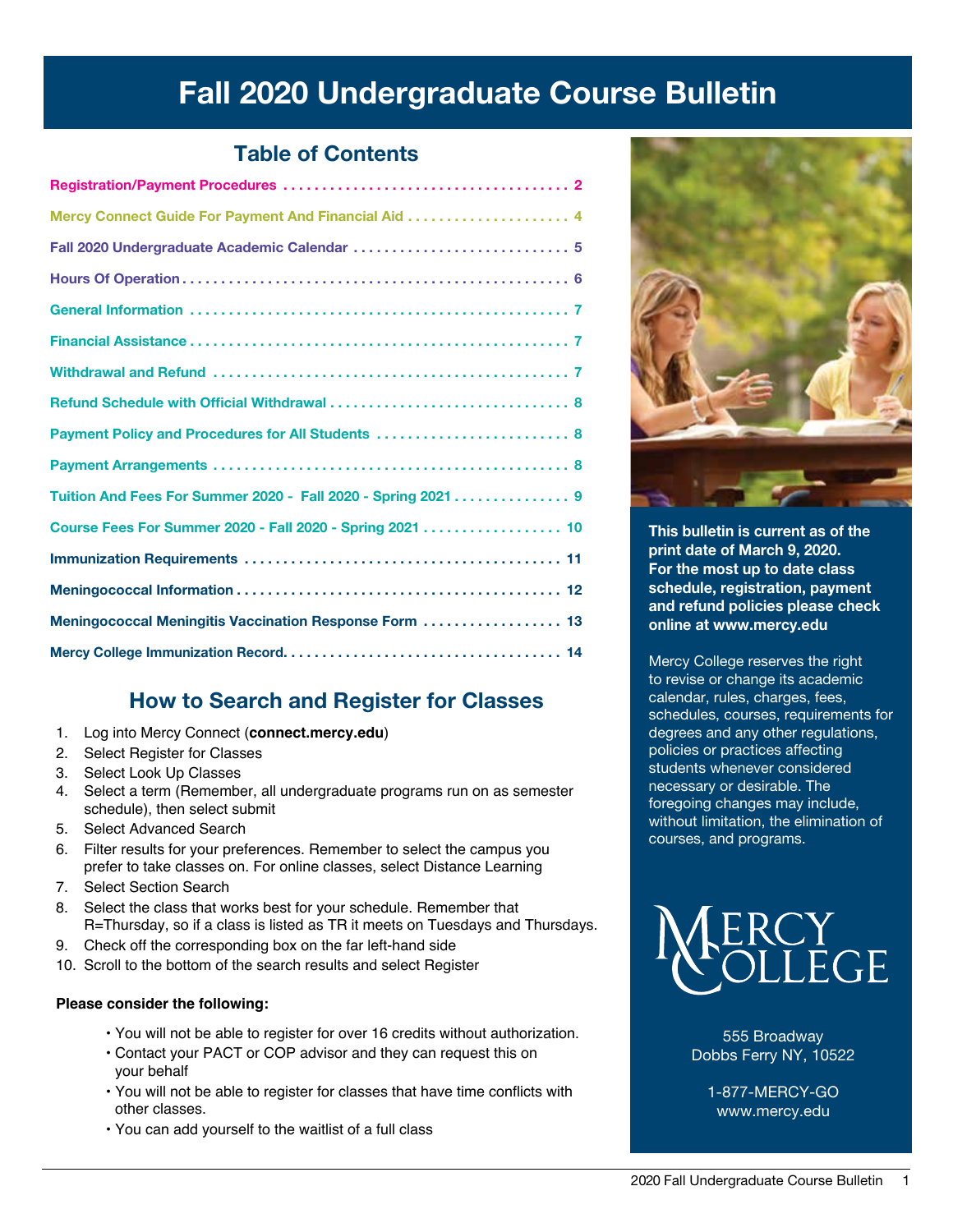## Fall 2020 Undergraduate Course Bulletin

#### Table of Contents

| Fall 2020 Undergraduate Academic Calendar  5                 |
|--------------------------------------------------------------|
|                                                              |
|                                                              |
|                                                              |
|                                                              |
|                                                              |
| Payment Policy and Procedures for All Students  8            |
|                                                              |
| Tuition And Fees For Summer 2020 - Fall 2020 - Spring 2021 9 |
| Course Fees For Summer 2020 - Fall 2020 - Spring 2021 10     |
|                                                              |
|                                                              |
| Meningococcal Meningitis Vaccination Response Form  13       |
|                                                              |

#### How [to Search and Register for](connect.mercy.edu) Classes

- 1. Log into Mercy Connect (**connect.mercy.edu**)
- 2. Select Register for Classes
- 3. Select Look Up Classes
- 4. Select a term (Remember, all undergraduate programs run on as semester schedule), then select submit
- 5. Select Advanced Search
- 6. Filter results for your preferences. Remember to select the campus you prefer to take classes on. For online classes, select Distance Learning
- 7. Select Section Search
- 8. Select the class that works best for your schedule. Remember that R=Thursday, so if a class is listed as TR it meets on Tuesdays and Thursdays.
- 9. Check off the corresponding box on the far left-hand side
- 10. Scroll to the bottom of the search results and select Register

#### **Please consider the following:**

- You will not be able to register for over 16 credits without authorization.
- Contact your PACT or COP advisor and they can request this on your behalf
- You will not be able to register for classes that have time conflicts with other classes.
- You can add yourself to the waitlist of a full class



This bulletin is current as of the print date of March 9, 2020. For the most up to date class schedule, registration, payment and refund policies please check online at www.mercy.edu

Mercy College reserves the right to revise or change its academic calendar, rules, charges, fees, schedules, courses, requirements for degrees and any other regulations, policies or practices affecting students whenever considered necessary or desirable. The foregoing changes may include, without limitation, the elimination of courses, and programs.



555 Broadway Dobbs Ferry NY, 10522

1-877-MERCY-GO www.mercy.edu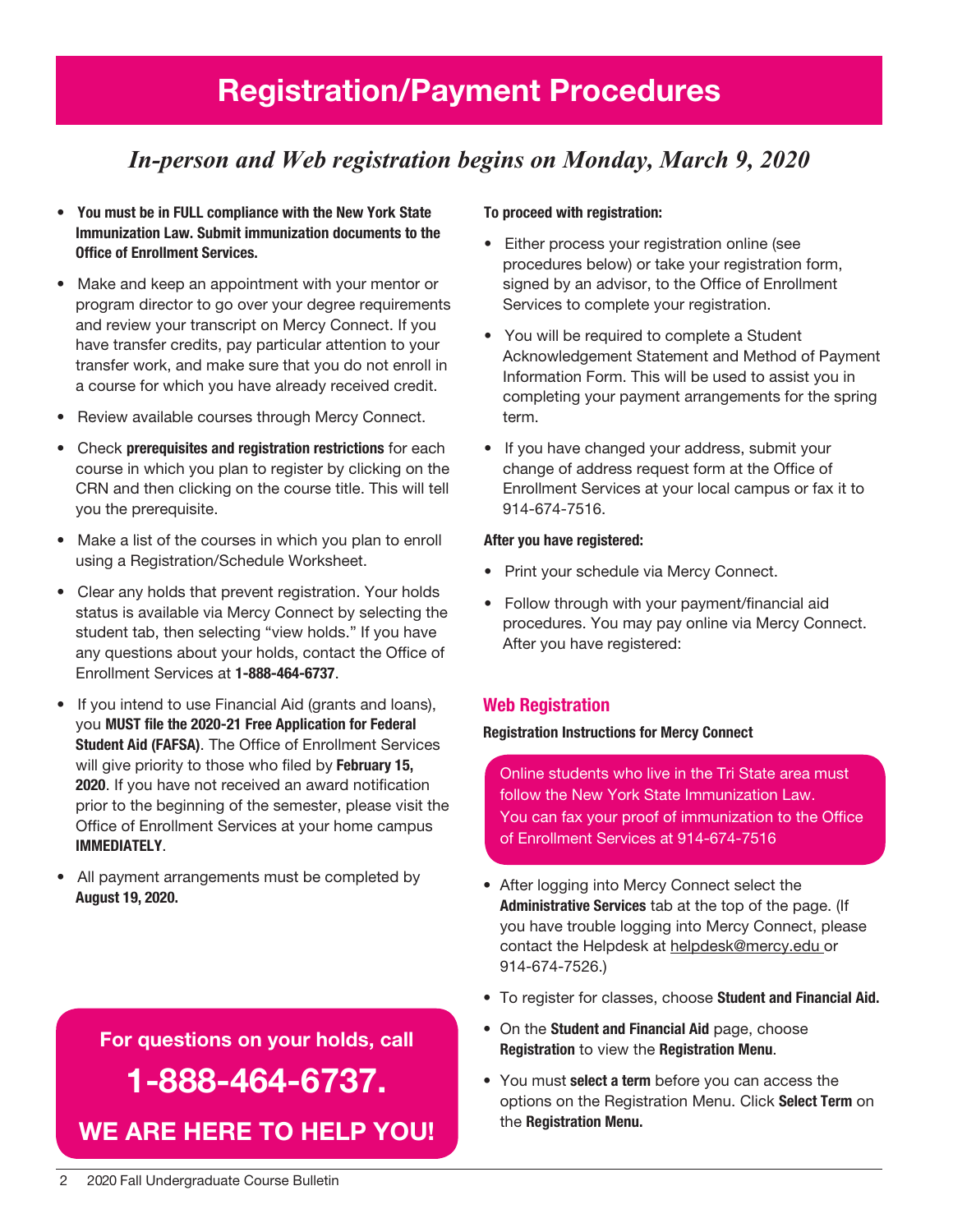## Registration/Payment Procedures

## *In-person and Web registration begins on Monday, March 9, 2020*

- You must be in FULL compliance with the New York State Immunization Law. Submit immunization documents to the Office of Enrollment Services.
- Make and keep an appointment with your mentor or program director to go over your degree requirements and review your transcript on Mercy Connect. If you have transfer credits, pay particular attention to your transfer work, and make sure that you do not enroll in a course for which you have already received credit.
- Review available courses through Mercy Connect.
- Check prerequisites and registration restrictions for each course in which you plan to register by clicking on the CRN and then clicking on the course title. This will tell you the prerequisite.
- Make a list of the courses in which you plan to enroll using a Registration/Schedule Worksheet.
- Clear any holds that prevent registration. Your holds status is available via Mercy Connect by selecting the student tab, then selecting "view holds." If you have any questions about your holds, contact the Office of Enrollment Services at 1-888-464-6737.
- If you intend to use Financial Aid (grants and loans), you MUST file the 2020-21 Free Application for Federal Student Aid (FAFSA). The Office of Enrollment Services will give priority to those who filed by February 15, 2020. If you have not received an award notification prior to the beginning of the semester, please visit the Office of Enrollment Services at your home campus IMMEDIATELY.
- All payment arrangements must be completed by August 19, 2020.

## For questions on your holds, call 1-888-464-6737. We are here to help You!

#### To proceed with registration:

- Either process your registration online (see procedures below) or take your registration form, signed by an advisor, to the Office of Enrollment Services to complete your registration.
- You will be required to complete a Student Acknowledgement Statement and Method of Payment Information Form. This will be used to assist you in completing your payment arrangements for the spring term.
- If you have changed your address, submit your change of address request form at the Office of Enrollment Services at your local campus or fax it to 914-674-7516.

#### After you have registered:

- Print your schedule via Mercy Connect.
- Follow through with your payment/financial aid procedures. You may pay online via Mercy Connect. After you have registered:

#### Web Registration

#### Registration Instructions for Mercy Connect

Online students who live in the Tri State area must follow the New York State Immunization Law. You can fax your proof of immunization to the Office of Enrollment Services at 914-674-7516

- After logging into Mercy Connect select the Administrative Services tab at the top of the page. (If you have trouble logging into Mercy Connect, please contact the Helpdesk at helpdesk@mercy.edu or 914-674-7526.)
- To register for classes, choose Student and Financial Aid.
- On the Student and Financial Aid page, choose Registration to view the Registration Menu.
- You must select a term before you can access the options on the Registration Menu. Click Select Term on the Registration Menu.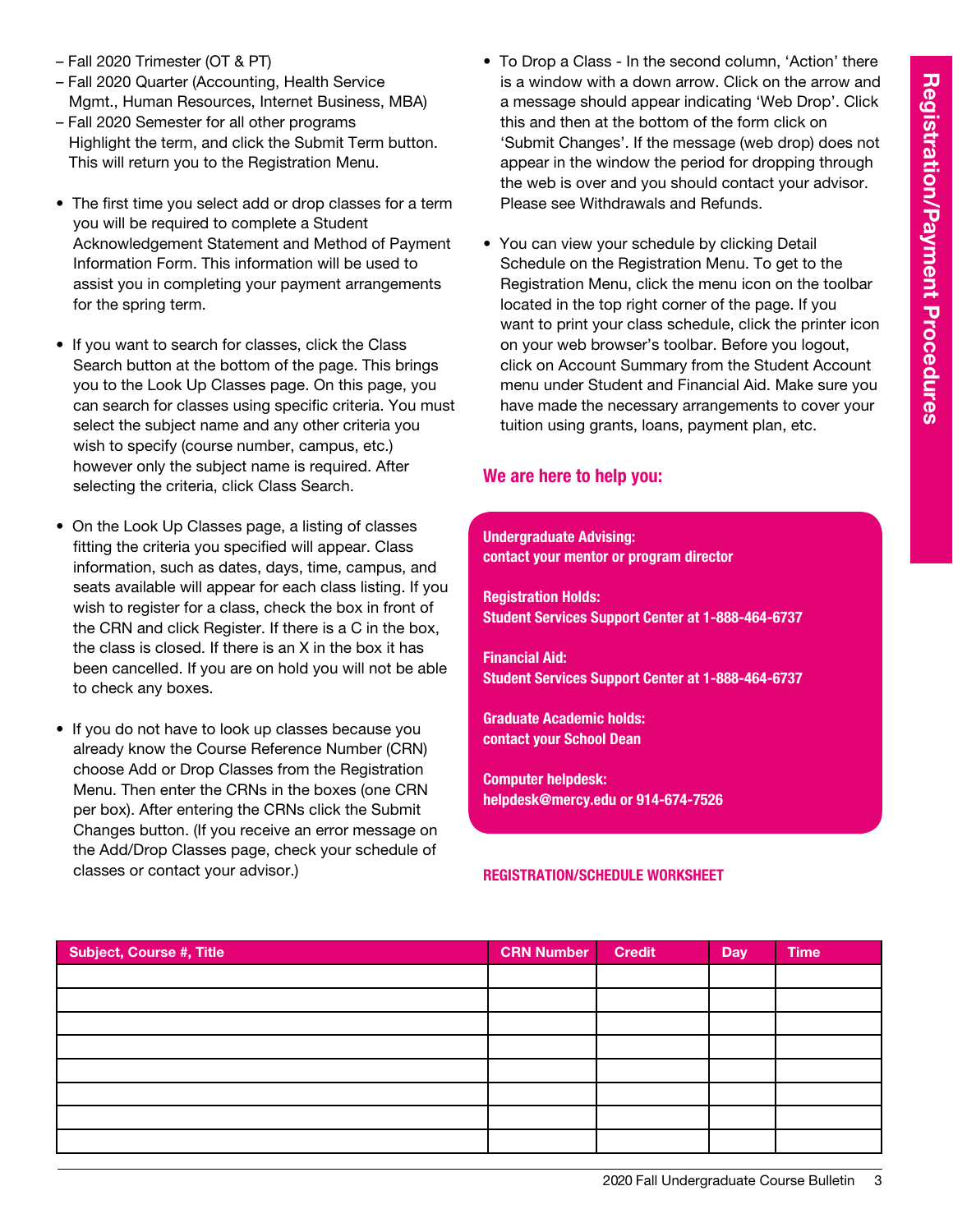- Fall 2020 Trimester (OT & PT)
- Fall 2020 Quarter (Accounting, Health Service Mgmt., Human Resources, Internet Business, MBA)
- Fall 2020 Semester for all other programs Highlight the term, and click the Submit Term button. This will return you to the Registration Menu.
- The first time you select add or drop classes for a term you will be required to complete a Student Acknowledgement Statement and Method of Payment Information Form. This information will be used to assist you in completing your payment arrangements for the spring term.
- If you want to search for classes, click the Class Search button at the bottom of the page. This brings you to the Look Up Classes page. On this page, you can search for classes using specific criteria. You must select the subject name and any other criteria you wish to specify (course number, campus, etc.) however only the subject name is required. After selecting the criteria, click Class Search.
- On the Look Up Classes page, a listing of classes fitting the criteria you specified will appear. Class information, such as dates, days, time, campus, and seats available will appear for each class listing. If you wish to register for a class, check the box in front of the CRN and click Register. If there is a C in the box, the class is closed. If there is an X in the box it has been cancelled. If you are on hold you will not be able to check any boxes.
- If you do not have to look up classes because you already know the Course Reference Number (CRN) choose Add or Drop Classes from the Registration Menu. Then enter the CRNs in the boxes (one CRN per box). After entering the CRNs click the Submit Changes button. (If you receive an error message on the Add/Drop Classes page, check your schedule of classes or contact your advisor.)
- To Drop a Class In the second column, 'Action' there is a window with a down arrow. Click on the arrow and a message should appear indicating 'Web Drop'. Click this and then at the bottom of the form click on 'Submit Changes'. If the message (web drop) does not appear in the window the period for dropping through the web is over and you should contact your advisor. Please see Withdrawals and Refunds.
- You can view your schedule by clicking Detail Schedule on the Registration Menu. To get to the Registration Menu, click the menu icon on the toolbar located in the top right corner of the page. If you want to print your class schedule, click the printer icon on your web browser's toolbar. Before you logout, click on Account Summary from the Student Account menu under Student and Financial Aid. Make sure you have made the necessary arrangements to cover your tuition using grants, loans, payment plan, etc.

#### We are here to help you:

#### Undergraduate Advising: contact your mentor or program director

Registration Holds: Student Services Support Center at 1-888-464-6737

Financial Aid: Student Services Support Center at 1-888-464-6737

Graduate Academic holds: contact your School Dean

Computer helpdesk: helpdesk@mercy.edu or 914-674-7526

#### Registration/Schedule Worksheet

| Subject, Course #, Title | <b>CRN Number</b> | <b>Credit</b> | <b>Day</b> | <b>Time</b> |
|--------------------------|-------------------|---------------|------------|-------------|
|                          |                   |               |            |             |
|                          |                   |               |            |             |
|                          |                   |               |            |             |
|                          |                   |               |            |             |
|                          |                   |               |            |             |
|                          |                   |               |            |             |
|                          |                   |               |            |             |
|                          |                   |               |            |             |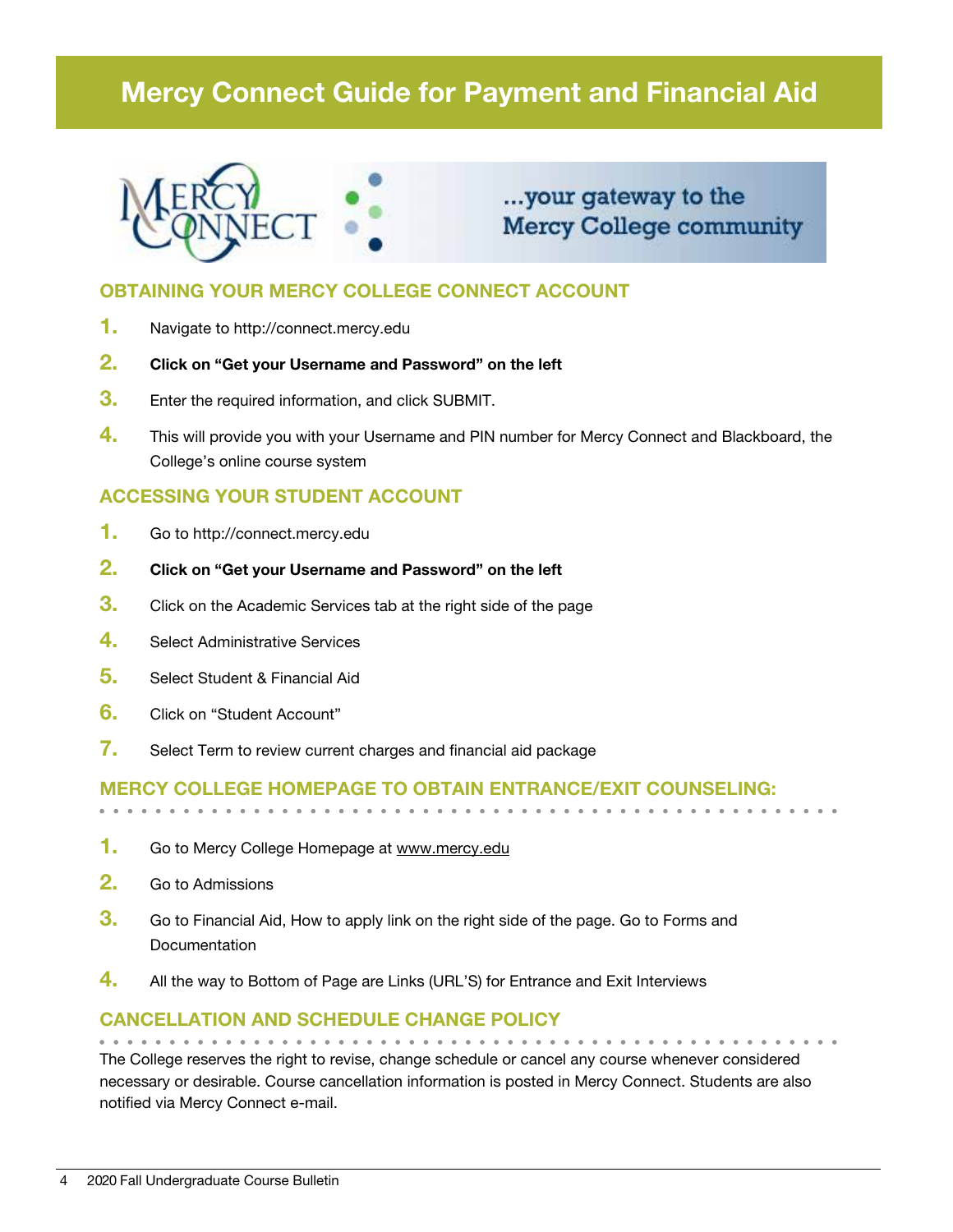## Mercy Connect Guide for Payment and Financial Aid



### ...your gateway to the **Mercy College community**

#### OBTAINING YOUR MERCY COLLEGE CONNECT ACCOUNT

- 1. Navigate to http://connect.mercy.edu
- 2. Click on "Get your Username and Password" on the left
- **3.** Enter the required information, and click SUBMIT.
- 4. This will provide you with your Username and PIN number for Mercy Connect and Blackboard, the College's online course system

#### ACCESSING YOUR STUDENT ACCOUNT

- 1. Go to http://connect.mercy.edu
- 2. Click on "Get your Username and Password" on the left
- **3.** Click on the Academic Services tab at the right side of the page
- 4. Select Administrative Services
- 5. Select Student & Financial Aid
- 6. Click on "Student Account"
- 7. Select Term to review current charges and financial aid package

#### Mercy College homepage to obtain entrance/exit counseling:

- 1. Go to Mercy College Homepage at www.mercy.edu
- 2. Go to Admissions
- **3.** Go to Financial Aid, How to apply link on the right side of the page. Go to Forms and **Documentation**
- 4. All the way to Bottom of Page are Links (URL'S) for Entrance and Exit Interviews

#### Cancellation and Schedule Change Policy

The College reserves the right to revise, change schedule or cancel any course whenever considered necessary or desirable. Course cancellation information is posted in Mercy Connect. Students are also notified via Mercy Connect e-mail.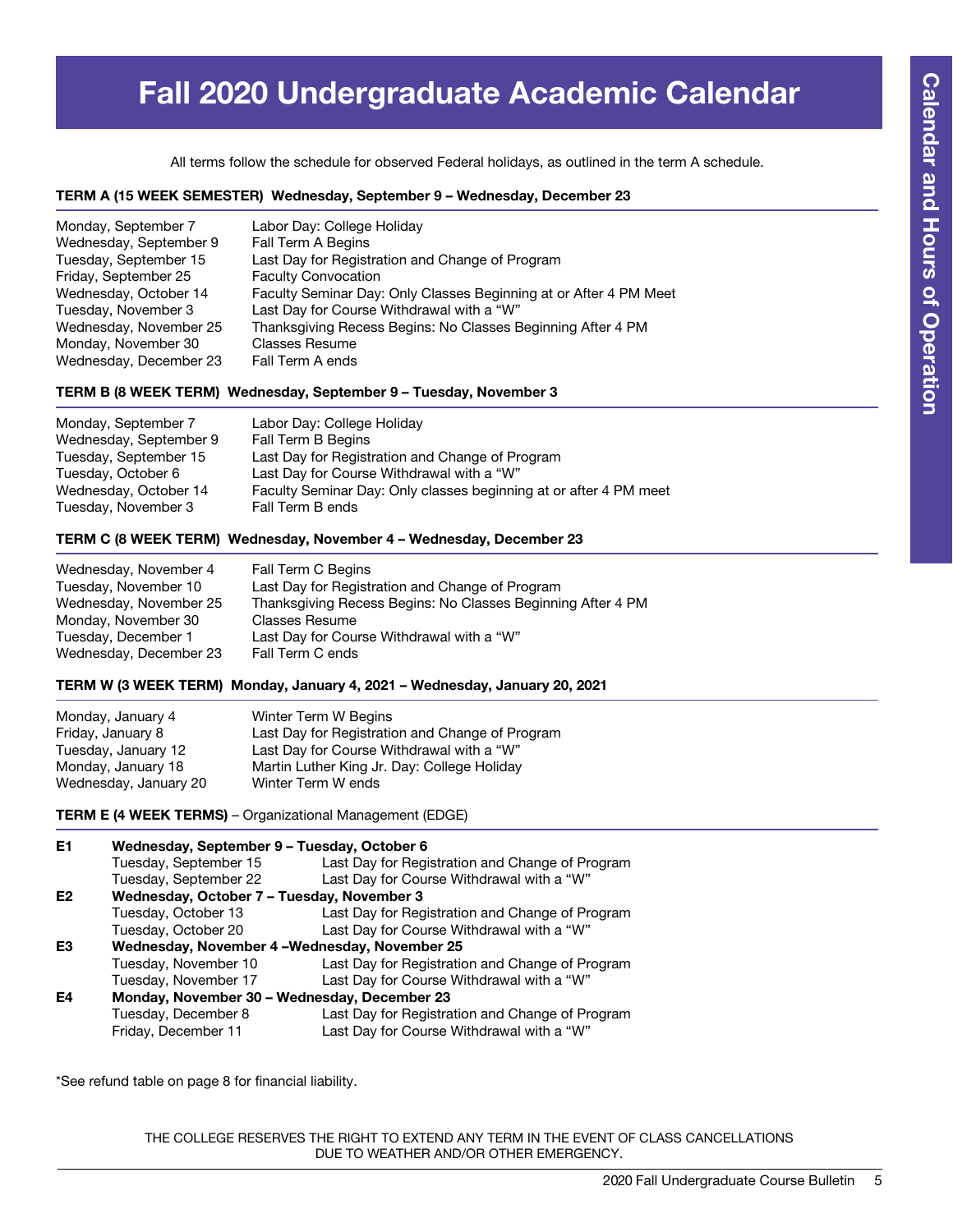## Fall 2020 Undergraduate Academic Calendar

All terms follow the schedule for observed Federal holidays, as outlined in the term A schedule.

#### TERM A (15 WEEK SEMESTER) Wednesday, September 9 – Wednesday, December 23

| Monday, September 7    | Labor Day: College Holiday                                        |
|------------------------|-------------------------------------------------------------------|
| Wednesday, September 9 | Fall Term A Begins                                                |
| Tuesday, September 15  | Last Day for Registration and Change of Program                   |
| Friday, September 25   | <b>Faculty Convocation</b>                                        |
| Wednesday, October 14  | Faculty Seminar Day: Only Classes Beginning at or After 4 PM Meet |
| Tuesday, November 3    | Last Day for Course Withdrawal with a "W"                         |
| Wednesday, November 25 | Thanksgiving Recess Begins: No Classes Beginning After 4 PM       |
| Monday, November 30    | <b>Classes Resume</b>                                             |
| Wednesday, December 23 | Fall Term A ends                                                  |

#### TERM B (8 WEEK TERM) Wednesday, September 9 – Tuesday, November 3

| Monday, September 7    | Labor Day: College Holiday                                        |
|------------------------|-------------------------------------------------------------------|
| Wednesday, September 9 | Fall Term B Begins                                                |
| Tuesday, September 15  | Last Day for Registration and Change of Program                   |
| Tuesday, October 6     | Last Day for Course Withdrawal with a "W"                         |
| Wednesday, October 14  | Faculty Seminar Day: Only classes beginning at or after 4 PM meet |
| Tuesday, November 3    | Fall Term B ends                                                  |

#### TERM C (8 WEEK TERM) Wednesday, November 4 – Wednesday, December 23

| Wednesday, November 4  | Fall Term C Begins                                          |
|------------------------|-------------------------------------------------------------|
| Tuesday, November 10   | Last Day for Registration and Change of Program             |
| Wednesday, November 25 | Thanksgiving Recess Begins: No Classes Beginning After 4 PM |
| Monday, November 30    | <b>Classes Resume</b>                                       |
| Tuesday, December 1    | Last Day for Course Withdrawal with a "W"                   |
| Wednesday, December 23 | Fall Term C ends                                            |

#### TERM W (3 WEEK TERM) Monday, January 4, 2021 – Wednesday, January 20, 2021

| Monday, January 4     | Winter Term W Begins                            |
|-----------------------|-------------------------------------------------|
| Friday, January 8     | Last Day for Registration and Change of Program |
| Tuesday, January 12   | Last Day for Course Withdrawal with a "W"       |
| Monday, January 18    | Martin Luther King Jr. Day: College Holiday     |
| Wednesday, January 20 | Winter Term W ends                              |

TERM E (4 WEEK TERMS) – Organizational Management (EDGE)

| E1             | Wednesday, September 9 - Tuesday, October 6  |                                                 |  |  |  |
|----------------|----------------------------------------------|-------------------------------------------------|--|--|--|
|                | Tuesday, September 15                        | Last Day for Registration and Change of Program |  |  |  |
|                | Tuesday, September 22                        | Last Day for Course Withdrawal with a "W"       |  |  |  |
| E <sub>2</sub> | Wednesday, October 7 – Tuesday, November 3   |                                                 |  |  |  |
|                | Tuesday, October 13                          | Last Day for Registration and Change of Program |  |  |  |
|                | Tuesday, October 20                          | Last Day for Course Withdrawal with a "W"       |  |  |  |
| E3             | Wednesday, November 4-Wednesday, November 25 |                                                 |  |  |  |
|                | Tuesday, November 10                         | Last Day for Registration and Change of Program |  |  |  |
|                | Tuesday, November 17                         | Last Day for Course Withdrawal with a "W"       |  |  |  |
| E4             | Monday, November 30 - Wednesday, December 23 |                                                 |  |  |  |
|                | Tuesday, December 8                          | Last Day for Registration and Change of Program |  |  |  |
|                | Friday, December 11                          | Last Day for Course Withdrawal with a "W"       |  |  |  |

\*See refund table on page 8 for financial liability.

THE COLLEGE RESERVES THE RIGHT TO EXTEND ANY TERM IN THE EVENT OF CLASS CANCELLATIONS DUE TO WEATHER AND/OR OTHER EMERGENCY.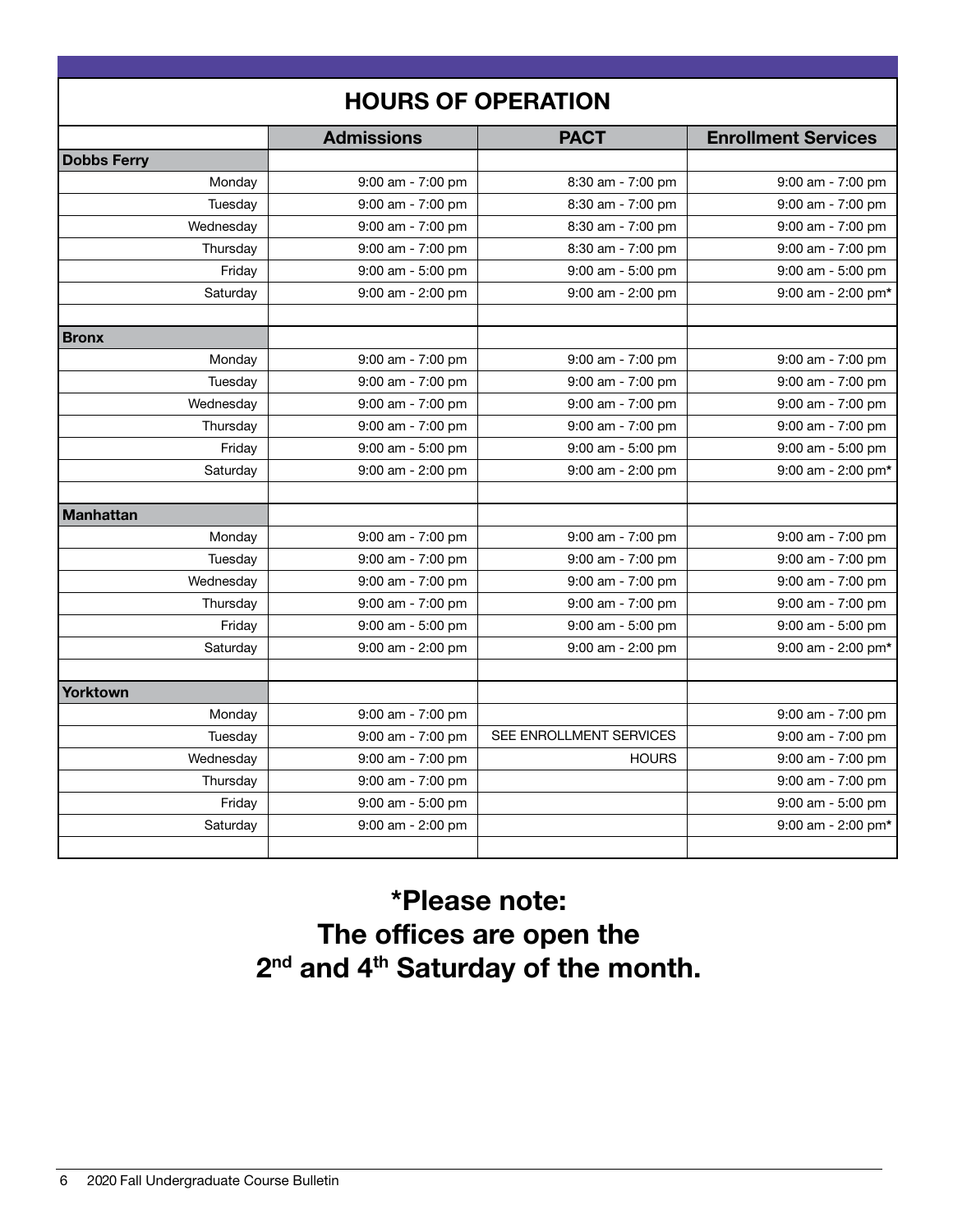| <b>HOURS OF OPERATION</b> |                     |                         |                            |  |  |
|---------------------------|---------------------|-------------------------|----------------------------|--|--|
|                           | <b>Admissions</b>   | <b>PACT</b>             | <b>Enrollment Services</b> |  |  |
| <b>Dobbs Ferry</b>        |                     |                         |                            |  |  |
| Monday                    | $9:00$ am - 7:00 pm | 8:30 am - 7:00 pm       | $9:00$ am - 7:00 pm        |  |  |
| Tuesday                   | $9:00$ am - 7:00 pm | 8:30 am - 7:00 pm       | $9:00$ am - 7:00 pm        |  |  |
| Wednesday                 | 9:00 am - 7:00 pm   | 8:30 am - 7:00 pm       | 9:00 am - 7:00 pm          |  |  |
| Thursday                  | 9:00 am - 7:00 pm   | 8:30 am - 7:00 pm       | 9:00 am - 7:00 pm          |  |  |
| Friday                    | 9:00 am - 5:00 pm   | 9:00 am - 5:00 pm       | 9:00 am - 5:00 pm          |  |  |
| Saturday                  | $9:00$ am - 2:00 pm | 9:00 am - 2:00 pm       | $9:00$ am - 2:00 pm*       |  |  |
| <b>Bronx</b>              |                     |                         |                            |  |  |
| Monday                    | $9:00$ am - 7:00 pm | $9:00$ am - 7:00 pm     | $9:00$ am - 7:00 pm        |  |  |
| Tuesday                   | $9:00$ am - 7:00 pm | $9:00$ am - 7:00 pm     | $9:00$ am - 7:00 pm        |  |  |
| Wednesday                 | $9:00$ am - 7:00 pm | $9:00$ am - 7:00 pm     | $9:00$ am - 7:00 pm        |  |  |
| Thursday                  | $9:00$ am - 7:00 pm | 9:00 am - 7:00 pm       | 9:00 am - 7:00 pm          |  |  |
| Friday                    | $9:00$ am - 5:00 pm | 9:00 am - 5:00 pm       | $9:00$ am - 5:00 pm        |  |  |
| Saturday                  | $9:00$ am - 2:00 pm | $9:00$ am - 2:00 pm     | $9:00$ am - 2:00 pm*       |  |  |
| <b>Manhattan</b>          |                     |                         |                            |  |  |
| Monday                    | $9:00$ am - 7:00 pm | 9:00 am - 7:00 pm       | $9:00$ am - 7:00 pm        |  |  |
| Tuesday                   | $9:00$ am - 7:00 pm | $9:00$ am - 7:00 pm     | $9:00$ am - 7:00 pm        |  |  |
| Wednesday                 | $9:00$ am - 7:00 pm | $9:00$ am - 7:00 pm     | $9:00$ am - 7:00 pm        |  |  |
| Thursday                  | $9:00$ am - 7:00 pm | $9:00$ am - 7:00 pm     | $9:00$ am - 7:00 pm        |  |  |
| Friday                    | 9:00 am - 5:00 pm   | 9:00 am - 5:00 pm       | $9:00$ am - 5:00 pm        |  |  |
| Saturday                  | $9:00$ am - 2:00 pm | 9:00 am - 2:00 pm       | $9:00$ am - 2:00 pm*       |  |  |
| Yorktown                  |                     |                         |                            |  |  |
| Monday                    | 9:00 am - 7:00 pm   |                         | $9:00$ am - $7:00$ pm      |  |  |
| Tuesday                   | 9:00 am - 7:00 pm   | SEE ENROLLMENT SERVICES | 9:00 am - 7:00 pm          |  |  |
| Wednesday                 | 9:00 am - 7:00 pm   | <b>HOURS</b>            | 9:00 am - 7:00 pm          |  |  |
| Thursday                  | $9:00$ am - 7:00 pm |                         | 9:00 am - 7:00 pm          |  |  |
| Friday                    | $9:00$ am - 5:00 pm |                         | 9:00 am - 5:00 pm          |  |  |
| Saturday                  | $9:00$ am - 2:00 pm |                         | 9:00 am - 2:00 pm*         |  |  |
|                           |                     |                         |                            |  |  |

\*Please note: The offices are open the 2<sup>nd</sup> and 4<sup>th</sup> Saturday of the month.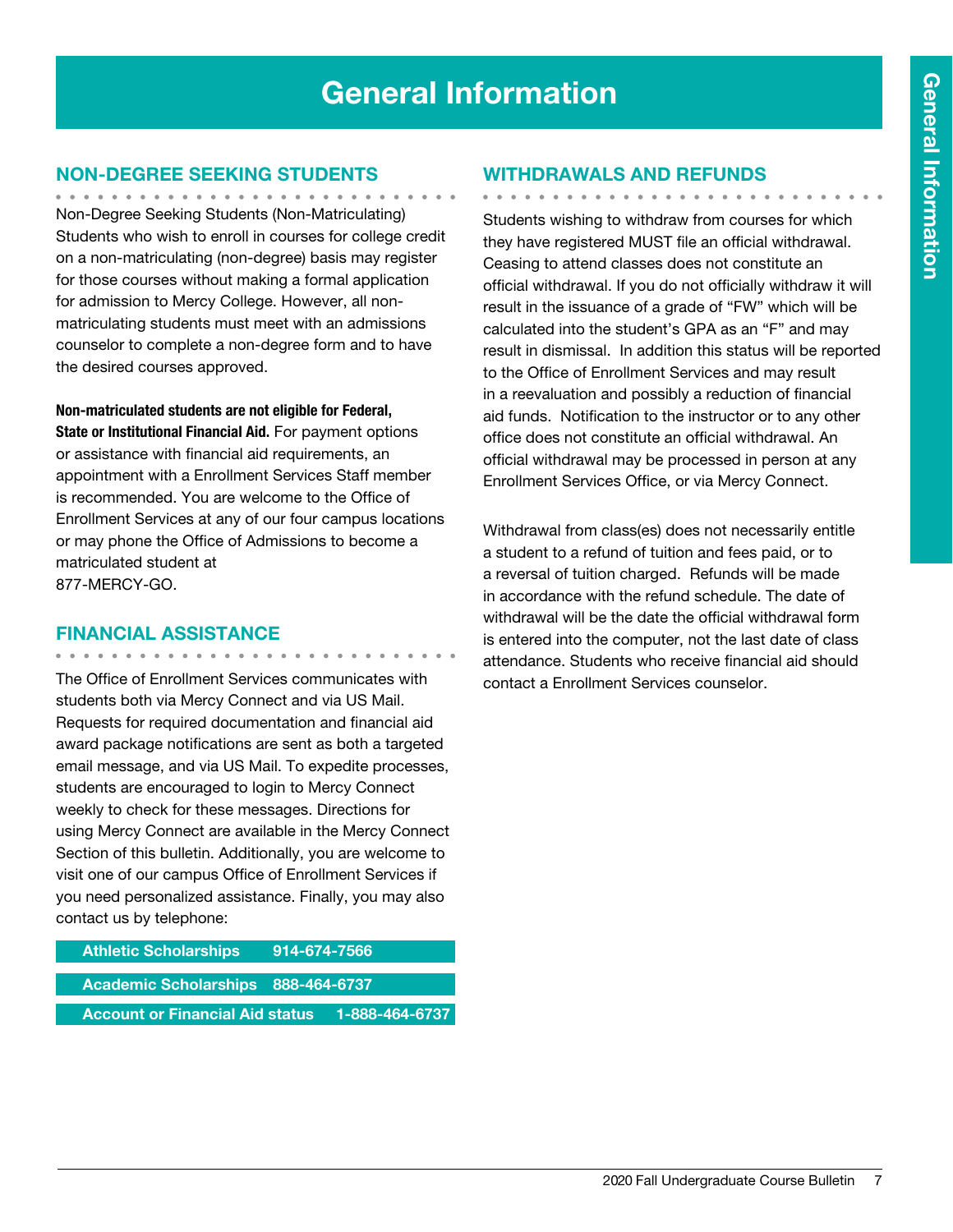## General Information

#### Non-Degree Seeking Students

Non-Degree Seeking Students (Non-Matriculating) Students who wish to enroll in courses for college credit on a non-matriculating (non-degree) basis may register for those courses without making a formal application for admission to Mercy College. However, all nonmatriculating students must meet with an admissions counselor to complete a non-degree form and to have the desired courses approved.

Non-matriculated students are not eligible for Federal, State or Institutional Financial Aid. For payment options or assistance with financial aid requirements, an appointment with a Enrollment Services Staff member is recommended. You are welcome to the Office of Enrollment Services at any of our four campus locations or may phone the Office of Admissions to become a matriculated student at 877-MERCY-GO.

#### Financial Assistance

<u>. . . . . . . . . . . . . .</u>

The Office of Enrollment Services communicates with students both via Mercy Connect and via US Mail. Requests for required documentation and financial aid award package notifications are sent as both a targeted email message, and via US Mail. To expedite processes, students are encouraged to login to Mercy Connect weekly to check for these messages. Directions for using Mercy Connect are available in the Mercy Connect Section of this bulletin. Additionally, you are welcome to visit one of our campus Office of Enrollment Services if you need personalized assistance. Finally, you may also contact us by telephone:

| <b>Athletic Scholarships</b>           | <u>914-674-7566 [</u> |                |
|----------------------------------------|-----------------------|----------------|
| Academic Scholarships 888-464-6737     |                       |                |
| <b>Account or Financial Aid status</b> |                       | 1-888-464-6737 |

#### Withdrawals and Refunds

. . . . . . . . . . . . . . . . . . Students wishing to withdraw from courses for which they have registered MUST file an official withdrawal. Ceasing to attend classes does not constitute an official withdrawal. If you do not officially withdraw it will result in the issuance of a grade of "FW" which will be calculated into the student's GPA as an "F" and may result in dismissal. In addition this status will be reported to the Office of Enrollment Services and may result in a reevaluation and possibly a reduction of financial aid funds. Notification to the instructor or to any other office does not constitute an official withdrawal. An official withdrawal may be processed in person at any Enrollment Services Office, or via Mercy Connect.

Withdrawal from class(es) does not necessarily entitle a student to a refund of tuition and fees paid, or to a reversal of tuition charged. Refunds will be made in accordance with the refund schedule. The date of withdrawal will be the date the official withdrawal form is entered into the computer, not the last date of class attendance. Students who receive financial aid should contact a Enrollment Services counselor.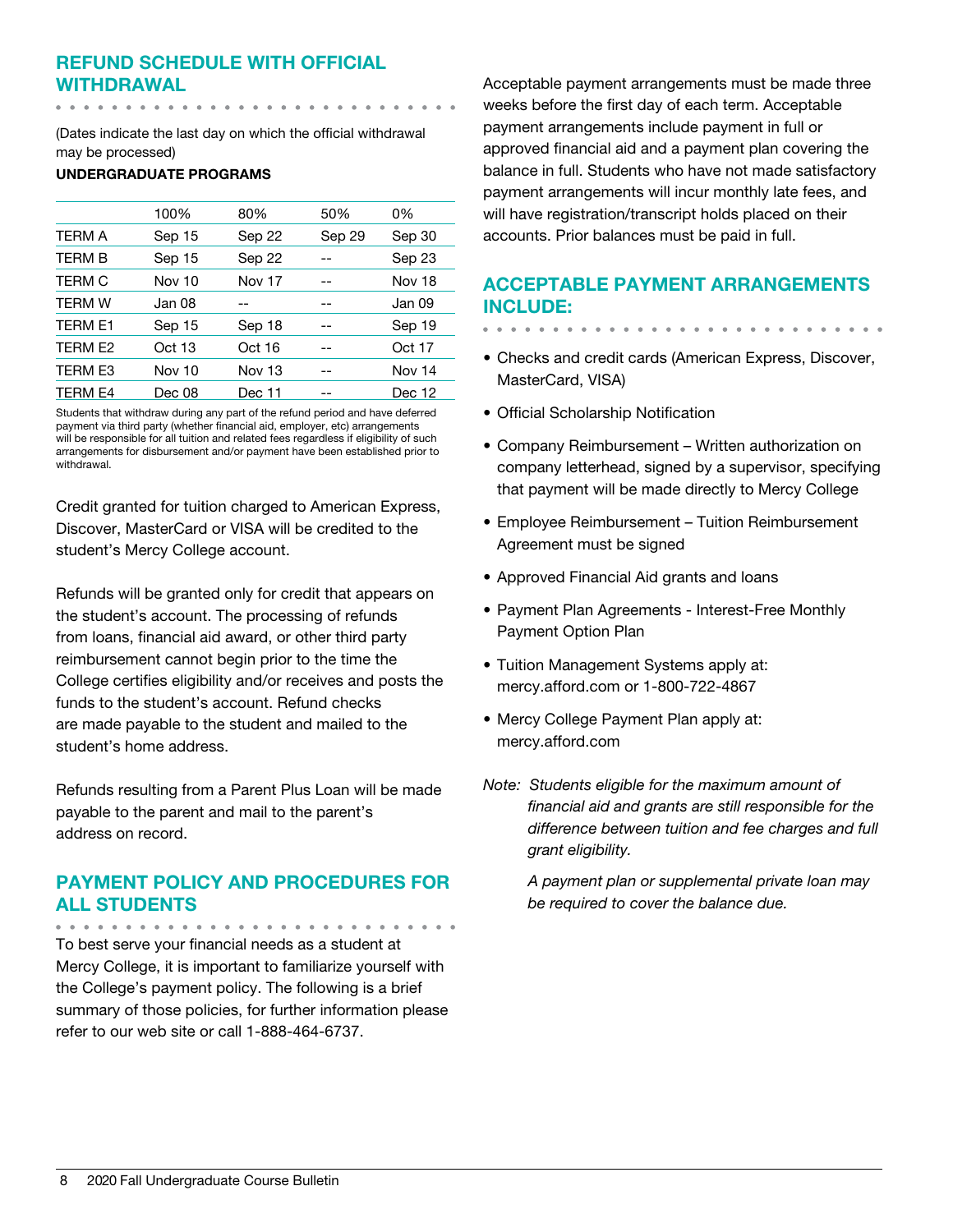#### Refund Schedule with Official Withdrawal

(Dates indicate the last day on which the official withdrawal may be processed)

#### UNDERGRADUATE PROGRAMS

|                     | 100%   | 80%           | 50%    | 0%            |
|---------------------|--------|---------------|--------|---------------|
| <b>TERM A</b>       | Sep 15 | Sep 22        | Sep 29 | Sep 30        |
| <b>TERM B</b>       | Sep 15 | Sep 22        |        | Sep 23        |
| <b>TERM C</b>       | Nov 10 | <b>Nov 17</b> |        | <b>Nov 18</b> |
| <b>TFRM W</b>       | Jan 08 |               | --     | Jan 09        |
| <b>TERM E1</b>      | Sep 15 | Sep 18        |        | Sep 19        |
| TFRM F <sub>2</sub> | Oct 13 | Oct 16        | --     | Oct 17        |
| <b>TERM E3</b>      | Nov 10 | Nov 13        |        | <b>Nov 14</b> |
| <b>TERM E4</b>      | Dec 08 | Dec 11        | --     | Dec 12        |
|                     |        |               |        |               |

Students that withdraw during any part of the refund period and have deferred payment via third party (whether financial aid, employer, etc) arrangements will be responsible for all tuition and related fees regardless if eligibility of such arrangements for disbursement and/or payment have been established prior to withdrawal.

Credit granted for tuition charged to American Express, Discover, MasterCard or VISA will be credited to the student's Mercy College account.

Refunds will be granted only for credit that appears on the student's account. The processing of refunds from loans, financial aid award, or other third party reimbursement cannot begin prior to the time the College certifies eligibility and/or receives and posts the funds to the student's account. Refund checks are made payable to the student and mailed to the student's home address.

Refunds resulting from a Parent Plus Loan will be made payable to the parent and mail to the parent's address on record.

#### Payment Policy and Procedures for all Students

. . . . . . . . . . . . To best serve your financial needs as a student at Mercy College, it is important to familiarize yourself with the College's payment policy. The following is a brief summary of those policies, for further information please refer to our web site or call 1-888-464-6737.

Acceptable payment arrangements must be made three weeks before the first day of each term. Acceptable payment arrangements include payment in full or approved financial aid and a payment plan covering the balance in full. Students who have not made satisfactory payment arrangements will incur monthly late fees, and will have registration/transcript holds placed on their accounts. Prior balances must be paid in full.

#### Acceptable Payment Arrangements include:

- Checks and credit cards (American Express, Discover, MasterCard, VISA)
- Official Scholarship Notification
- Company Reimbursement Written authorization on company letterhead, signed by a supervisor, specifying that payment will be made directly to Mercy College
- Employee Reimbursement Tuition Reimbursement Agreement must be signed
- Approved Financial Aid grants and loans
- Payment Plan Agreements Interest-Free Monthly Payment Option Plan
- Tuition Management Systems apply at: mercy.afford.com or 1-800-722-4867
- Mercy College Payment Plan apply at: mercy.afford.com
- *Note: Students eligible for the maximum amount of financial aid and grants are still responsible for the difference between tuition and fee charges and full grant eligibility.*

*A payment plan or supplemental private loan may be required to cover the balance due.*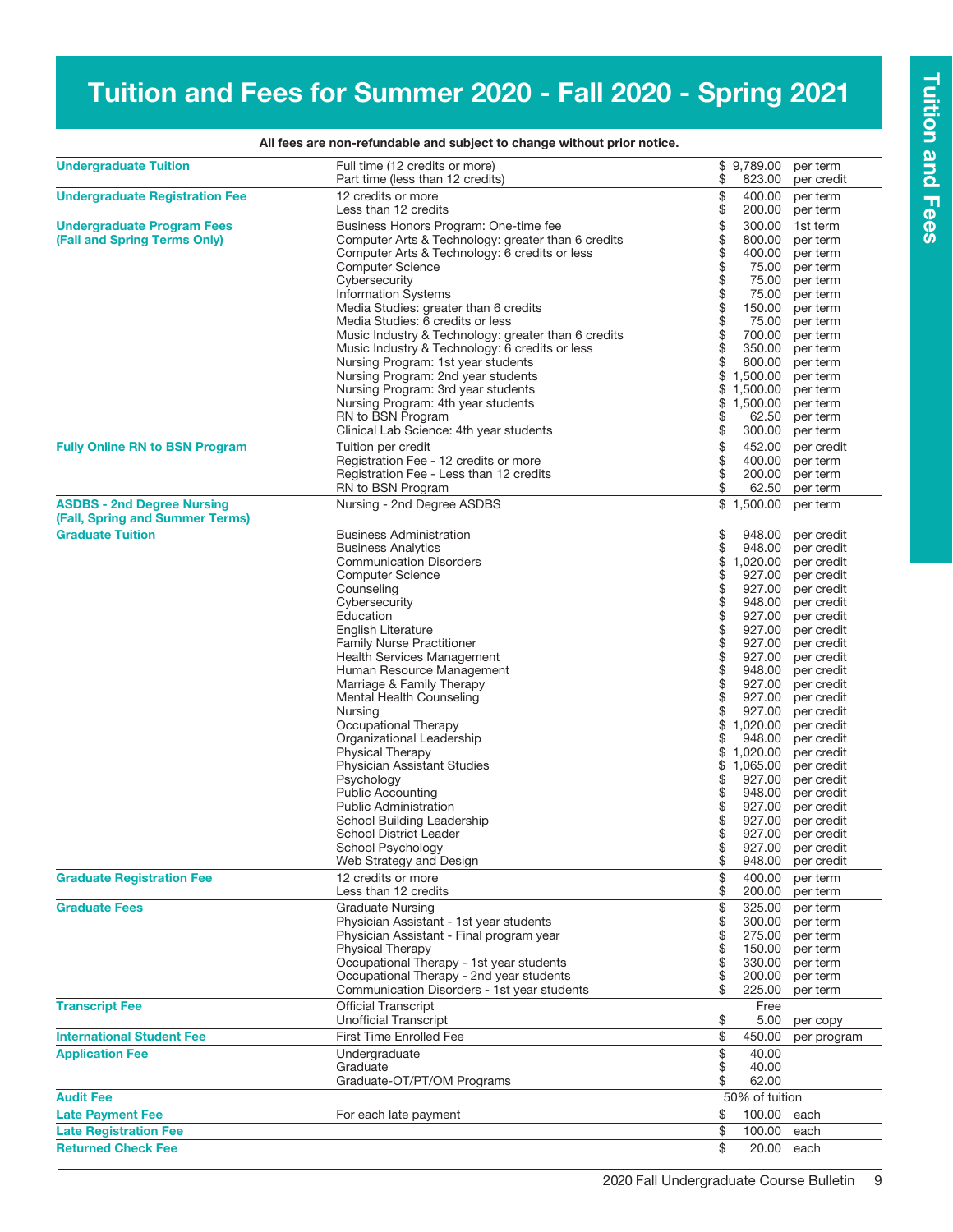## Tuition and Fees for Summer 2020 - Fall 2020 - Spring 2021

| <b>Undergraduate Tuition</b>                                         | Full time (12 credits or more)                             |            | \$9,789.00               | per term                        |
|----------------------------------------------------------------------|------------------------------------------------------------|------------|--------------------------|---------------------------------|
|                                                                      | Part time (less than 12 credits)                           | \$         | 823.00                   | per credit                      |
| <b>Undergraduate Registration Fee</b>                                | 12 credits or more<br>Less than 12 credits                 | \$         | 400.00<br>200.00         | per term<br>per term            |
| <b>Undergraduate Program Fees</b>                                    | Business Honors Program: One-time fee                      | \$         | 300.00                   | 1st term                        |
| (Fall and Spring Terms Only)                                         | Computer Arts & Technology: greater than 6 credits         |            | 800.00                   | per term                        |
|                                                                      | Computer Arts & Technology: 6 credits or less              | \$\$       | 400.00                   | per term                        |
|                                                                      | <b>Computer Science</b>                                    |            | 75.00                    | per term                        |
|                                                                      | Cybersecurity                                              |            | 75.00                    | per term                        |
|                                                                      | <b>Information Systems</b>                                 | \$\$\$\$\$ | 75.00                    | per term                        |
|                                                                      | Media Studies: greater than 6 credits                      |            | 150.00                   | per term                        |
|                                                                      | Media Studies: 6 credits or less                           |            | 75.00                    | per term                        |
|                                                                      | Music Industry & Technology: greater than 6 credits        |            | 700.00                   | per term                        |
|                                                                      | Music Industry & Technology: 6 credits or less             | \$         | 350.00                   | per term                        |
|                                                                      | Nursing Program: 1st year students                         | \$         | 800.00                   | per term                        |
|                                                                      | Nursing Program: 2nd year students                         | \$         | 1,500.00                 | per term                        |
|                                                                      | Nursing Program: 3rd year students                         | \$         | 1,500.00                 | per term                        |
|                                                                      | Nursing Program: 4th year students                         | \$         | 1,500.00                 | per term                        |
|                                                                      | RN to BSN Program                                          | \$         | 62.50                    | per term                        |
|                                                                      | Clinical Lab Science: 4th year students                    | \$         | 300.00                   | per term                        |
| <b>Fully Online RN to BSN Program</b>                                | Tuition per credit                                         | \$         | 452.00                   | per credit                      |
|                                                                      | Registration Fee - 12 credits or more                      |            | 400.00                   | per term                        |
|                                                                      | Registration Fee - Less than 12 credits                    | \$         | 200.00                   | per term                        |
|                                                                      | RN to BSN Program                                          | \$         | 62.50                    | per term                        |
| <b>ASDBS - 2nd Degree Nursing</b><br>(Fall, Spring and Summer Terms) | Nursing - 2nd Degree ASDBS                                 |            | $\overline{\$}$ 1,500.00 | per term                        |
| <b>Graduate Tuition</b>                                              | <b>Business Administration</b>                             | \$         | 948.00                   | per credit                      |
|                                                                      | <b>Business Analytics</b>                                  | \$         | 948.00                   | per credit                      |
|                                                                      | <b>Communication Disorders</b>                             | \$         | 1,020.00                 | per credit                      |
|                                                                      | <b>Computer Science</b>                                    | \$         | 927.00                   | per credit                      |
|                                                                      | Counseling                                                 | \$\$       | 927.00                   | per credit                      |
|                                                                      | Cybersecurity                                              |            | 948.00                   | per credit                      |
|                                                                      | Education                                                  |            | 927.00                   | per credit                      |
|                                                                      | English Literature                                         | 888888     | 927.00                   | per credit                      |
|                                                                      | <b>Family Nurse Practitioner</b>                           |            | 927.00                   | per credit                      |
|                                                                      | <b>Health Services Management</b>                          |            | 927.00                   | per credit                      |
|                                                                      | Human Resource Management                                  |            | 948.00                   | per credit                      |
|                                                                      | Marriage & Family Therapy                                  |            | 927.00                   | per credit                      |
|                                                                      | Mental Health Counseling                                   | \$         | 927.00                   | per credit                      |
|                                                                      | Nursing                                                    | \$         | 927.00                   | per credit                      |
|                                                                      | Occupational Therapy                                       | \$         | 1,020.00                 | per credit                      |
|                                                                      | Organizational Leadership                                  | \$         | 948.00                   | per credit                      |
|                                                                      | <b>Physical Therapy</b>                                    | \$         | 1,020.00                 | per credit                      |
|                                                                      | <b>Physician Assistant Studies</b>                         | \$         | 1,065.00                 | per credit                      |
|                                                                      | Psychology                                                 | \$         | 927.00                   | per credit                      |
|                                                                      | <b>Public Accounting</b>                                   | \$         | 948.00                   | per credit                      |
|                                                                      | <b>Public Administration</b>                               |            | 927.00                   | per credit                      |
|                                                                      | School Building Leadership                                 | \$<br>\$   | 927.00                   | per credit                      |
|                                                                      | <b>School District Leader</b>                              | \$         |                          | 927.00 per credit               |
|                                                                      | School Psychology<br>Web Strategy and Design               | \$         | 948.00                   | 927.00 per credit<br>per credit |
| <b>Graduate Registration Fee</b>                                     | 12 credits or more                                         | \$         | 400.00                   | per term                        |
|                                                                      | Less than 12 credits                                       | \$         | 200.00                   | per term                        |
| <b>Graduate Fees</b>                                                 | <b>Graduate Nursing</b>                                    | \$         | 325.00                   | per term                        |
|                                                                      | Physician Assistant - 1st year students                    | \$         | 300.00                   | per term                        |
|                                                                      | Physician Assistant - Final program year                   | \$         | 275.00                   | per term                        |
|                                                                      | <b>Physical Therapy</b>                                    | \$         | 150.00                   | per term                        |
|                                                                      | Occupational Therapy - 1st year students                   | \$         | 330.00                   | per term                        |
|                                                                      | Occupational Therapy - 2nd year students                   | \$         | 200.00                   | per term                        |
|                                                                      | Communication Disorders - 1st year students                | \$         | 225.00                   | per term                        |
| <b>Transcript Fee</b>                                                | <b>Official Transcript</b><br><b>Unofficial Transcript</b> | \$         | Free<br>5.00             | per copy                        |
| <b>International Student Fee</b>                                     | <b>First Time Enrolled Fee</b>                             | \$         | 450.00                   | per program                     |
| <b>Application Fee</b>                                               | Undergraduate                                              | \$         | 40.00                    |                                 |
|                                                                      | Graduate                                                   | \$         | 40.00                    |                                 |
|                                                                      | Graduate-OT/PT/OM Programs                                 | \$         | 62.00                    |                                 |
| <b>Audit Fee</b>                                                     |                                                            |            | 50% of tuition           |                                 |
| <b>Late Payment Fee</b>                                              | For each late payment                                      | \$         | 100.00                   | each                            |
| <b>Late Registration Fee</b>                                         |                                                            | \$         | 100.00                   | each                            |
| <b>Returned Check Fee</b>                                            |                                                            | \$         |                          |                                 |
|                                                                      |                                                            |            | 20.00                    | each                            |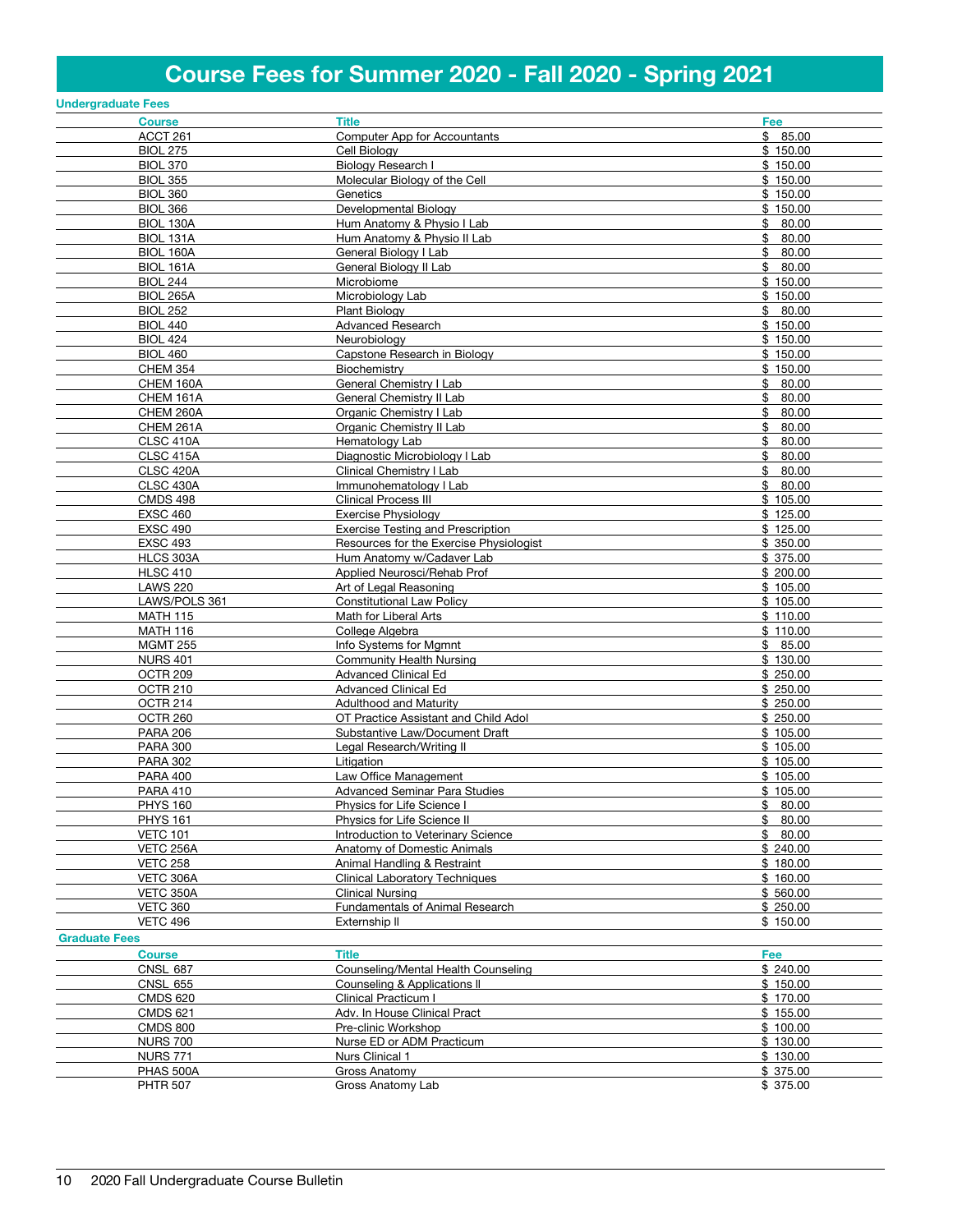## Course Fees for Summer 2020 - Fall 2020 - Spring 2021

|                      | <b>Undergraduate Fees</b> |                                          |             |
|----------------------|---------------------------|------------------------------------------|-------------|
|                      | <b>Course</b>             | <b>Title</b>                             | Fee         |
|                      | ACCT 261                  | Computer App for Accountants             | \$85.00     |
|                      | <b>BIOL 275</b>           | Cell Biology                             | \$150.00    |
|                      | <b>BIOL 370</b>           | <b>Biology Research I</b>                | \$150.00    |
|                      | <b>BIOL 355</b>           | Molecular Biology of the Cell            | \$150.00    |
|                      | <b>BIOL 360</b>           | Genetics                                 | \$150.00    |
|                      | <b>BIOL 366</b>           | Developmental Biology                    | \$150.00    |
|                      | BIOL 130A                 | Hum Anatomy & Physio I Lab               | \$80.00     |
|                      | <b>BIOL 131A</b>          | Hum Anatomy & Physio II Lab              | \$<br>80.00 |
|                      | BIOL 160A                 | General Biology I Lab                    | \$<br>80.00 |
|                      | <b>BIOL 161A</b>          | General Biology II Lab                   | \$<br>80.00 |
|                      | <b>BIOL 244</b>           | Microbiome                               | \$150.00    |
|                      | <b>BIOL 265A</b>          | Microbiology Lab                         | \$150.00    |
|                      | <b>BIOL 252</b>           | Plant Biology                            | \$<br>80.00 |
|                      | <b>BIOL 440</b>           | <b>Advanced Research</b>                 | \$150.00    |
|                      | <b>BIOL 424</b>           | Neurobiology                             | \$150.00    |
|                      | <b>BIOL 460</b>           | Capstone Research in Biology             | \$150.00    |
|                      | <b>CHEM 354</b>           | Biochemistry                             | \$150.00    |
|                      | CHEM 160A                 | General Chemistry I Lab                  | \$80.00     |
|                      | CHEM 161A                 | General Chemistry II Lab                 | 80.00<br>\$ |
|                      | CHEM 260A                 | Organic Chemistry I Lab                  | 80.00<br>\$ |
|                      | CHEM 261A                 | Organic Chemistry II Lab                 | \$<br>80.00 |
|                      | CLSC 410A                 | Hematology Lab                           | \$<br>80.00 |
|                      | CLSC 415A                 | Diagnostic Microbiology I Lab            | \$<br>80.00 |
|                      | CLSC 420A                 | Clinical Chemistry I Lab                 | \$<br>80.00 |
|                      | <b>CLSC 430A</b>          | Immunohematology I Lab                   | \$<br>80.00 |
|                      | <b>CMDS 498</b>           | <b>Clinical Process III</b>              | \$105.00    |
|                      | <b>EXSC 460</b>           | <b>Exercise Physiology</b>               | \$125.00    |
|                      | <b>EXSC 490</b>           | <b>Exercise Testing and Prescription</b> | \$125.00    |
|                      | <b>EXSC 493</b>           | Resources for the Exercise Physiologist  | \$350.00    |
|                      | HLCS 303A                 | Hum Anatomy w/Cadaver Lab                | \$375.00    |
|                      | <b>HLSC 410</b>           | Applied Neurosci/Rehab Prof              | \$200.00    |
|                      | <b>LAWS 220</b>           | Art of Legal Reasoning                   | \$105.00    |
|                      | LAWS/POLS 361             | <b>Constitutional Law Policy</b>         | \$105.00    |
|                      | <b>MATH 115</b>           | Math for Liberal Arts                    | \$110.00    |
|                      | <b>MATH 116</b>           | College Algebra                          | \$110.00    |
|                      | <b>MGMT 255</b>           | Info Systems for Mgmnt                   | \$85.00     |
|                      | <b>NURS 401</b>           | Community Health Nursing                 | \$130.00    |
|                      | OCTR <sub>209</sub>       | <b>Advanced Clinical Ed</b>              | \$250.00    |
|                      | <b>OCTR 210</b>           | <b>Advanced Clinical Ed</b>              | \$250.00    |
|                      | OCTR <sub>214</sub>       | <b>Adulthood and Maturity</b>            | \$250.00    |
|                      | OCTR 260                  | OT Practice Assistant and Child Adol     | \$250.00    |
|                      | <b>PARA 206</b>           | Substantive Law/Document Draft           | \$105.00    |
|                      | <b>PARA 300</b>           | Legal Research/Writing II                | \$105.00    |
|                      | <b>PARA 302</b>           | Litigation                               | \$105.00    |
|                      | <b>PARA 400</b>           | Law Office Management                    | \$105.00    |
|                      | <b>PARA 410</b>           | <b>Advanced Seminar Para Studies</b>     | \$105.00    |
|                      | <b>PHYS 160</b>           | Physics for Life Science I               | \$80.00     |
|                      | <b>PHYS 161</b>           | Physics for Life Science II              | \$<br>80.00 |
|                      | <b>VETC 101</b>           | Introduction to Veterinary Science       | \$80.00     |
|                      | VETC 256A                 | Anatomy of Domestic Animals              | \$240.00    |
|                      | <b>VETC 258</b>           | Animal Handling & Restraint              | \$180.00    |
|                      | VETC 306A                 | <b>Clinical Laboratory Techniques</b>    | \$160.00    |
|                      | VETC 350A                 | <b>Clinical Nursing</b>                  | \$560.00    |
|                      | <b>VETC 360</b>           | Fundamentals of Animal Research          | \$250.00    |
|                      | <b>VETC 496</b>           | Externship II                            | \$150.00    |
| <b>Graduate Fees</b> |                           |                                          |             |
|                      | <b>Course</b>             | <b>Title</b>                             | Fee         |
|                      | <b>CNSL 687</b>           | Counseling/Mental Health Counseling      | \$240.00    |
|                      | <b>CNSL 655</b>           | Counseling & Applications II             | \$150.00    |
|                      | <b>CMDS 620</b>           | Clinical Practicum I                     | \$170.00    |
|                      | <b>CMDS 621</b>           | Adv. In House Clinical Pract             | \$155.00    |
|                      | <b>CMDS 800</b>           | Pre-clinic Workshop                      | \$100.00    |
|                      | <b>NURS 700</b>           | Nurse ED or ADM Practicum                | \$130.00    |
|                      | <b>NURS 771</b>           | Nurs Clinical 1                          | \$130.00    |
|                      | PHAS 500A                 | Gross Anatomy                            | \$375.00    |
|                      | <b>PHTR 507</b>           | Gross Anatomy Lab                        | \$ 375.00   |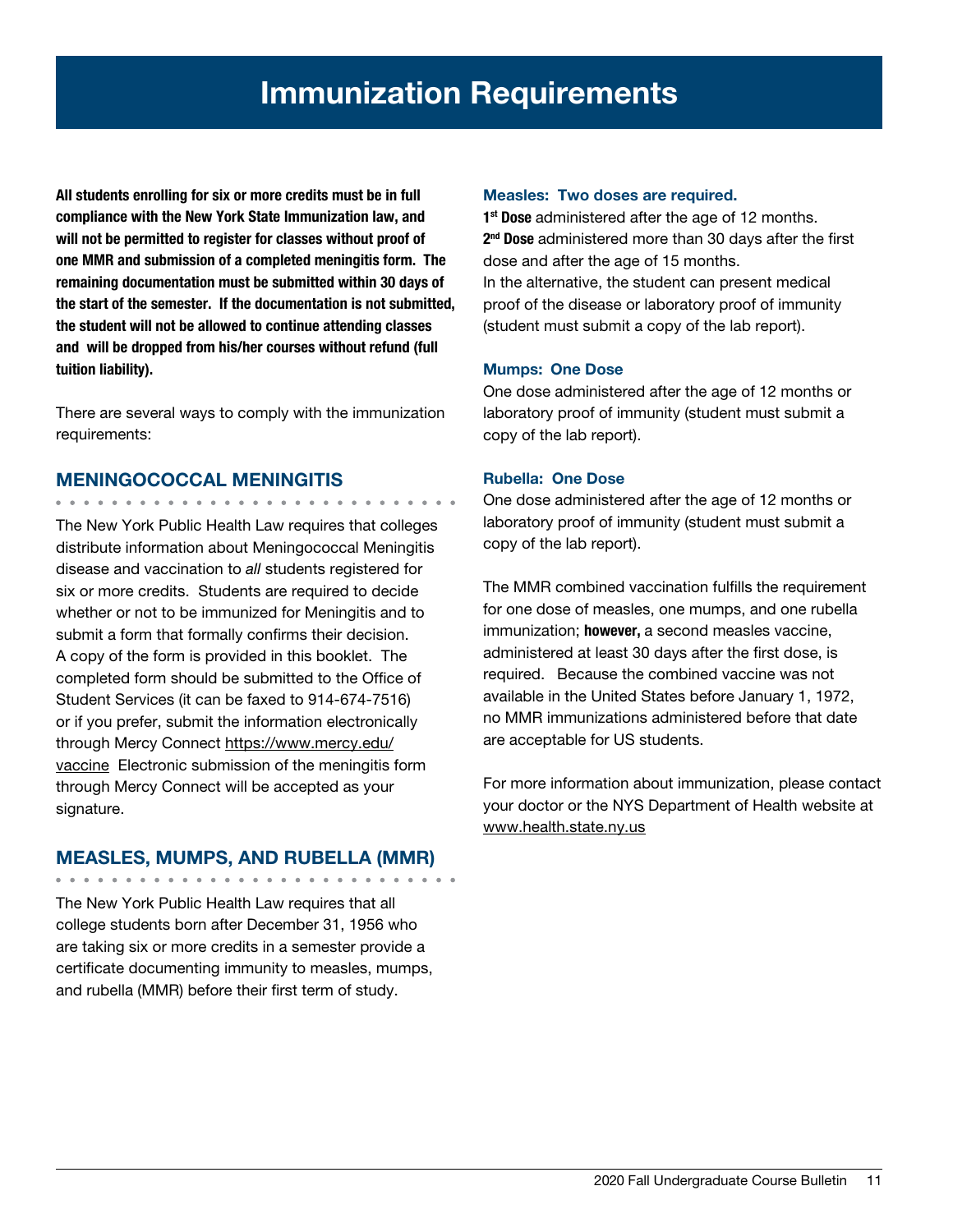All students enrolling for six or more credits must be in full compliance with the New York State Immunization law, and will not be permitted to register for classes without proof of one MMR and submission of a completed meningitis form. The remaining documentation must be submitted within 30 days of the start of the semester. If the documentation is not submitted, the student will not be allowed to continue attending classes and will be dropped from his/her courses without refund (full tuition liability).

There are several ways to comply with the immunization requirements:

. . . . . . . . . . . . . . . . . .

#### MENINGOCOCCAL MENINGITIS

The New York Public Health Law requires that colleges distribute information about Meningococcal Meningitis disease and vaccination to *all* students registered for six or more credits. Students are required to decide whether or not to be immunized for Meningitis and to submit a form that formally confirms their decision. A copy of the form is provided in this booklet. The completed form should be submitted to the Office of Student Services (it can be faxed to 914-674-7516) or if you prefer, submit the information electronically through Mercy Connect https://www.mercy.edu/ vaccine Electronic submission of the meningitis form through Mercy Connect will be accepted as your signature.

#### MEASLES, MUMPS, AND RUBELLA (MMR)

The New York Public Health Law requires that all college students born after December 31, 1956 who are taking six or more credits in a semester provide a certificate documenting immunity to measles, mumps, and rubella (MMR) before their first term of study.

#### Measles: Two doses are required.

1<sup>st</sup> Dose administered after the age of 12 months. 2<sup>nd</sup> Dose administered more than 30 days after the first dose and after the age of 15 months. In the alternative, the student can present medical proof of the disease or laboratory proof of immunity (student must submit a copy of the lab report).

#### Mumps: One Dose

One dose administered after the age of 12 months or laboratory proof of immunity (student must submit a copy of the lab report).

#### Rubella: One Dose

One dose administered after the age of 12 months or laboratory proof of immunity (student must submit a copy of the lab report).

The MMR combined vaccination fulfills the requirement for one dose of measles, one mumps, and one rubella immunization; however, a second measles vaccine, administered at least 30 days after the first dose, is required. Because the combined vaccine was not available in the United States before January 1, 1972, no MMR immunizations administered before that date are acceptable for US students.

For more information about immunization, please contact your doctor or the NYS Department of Health website at www.health.state.ny.us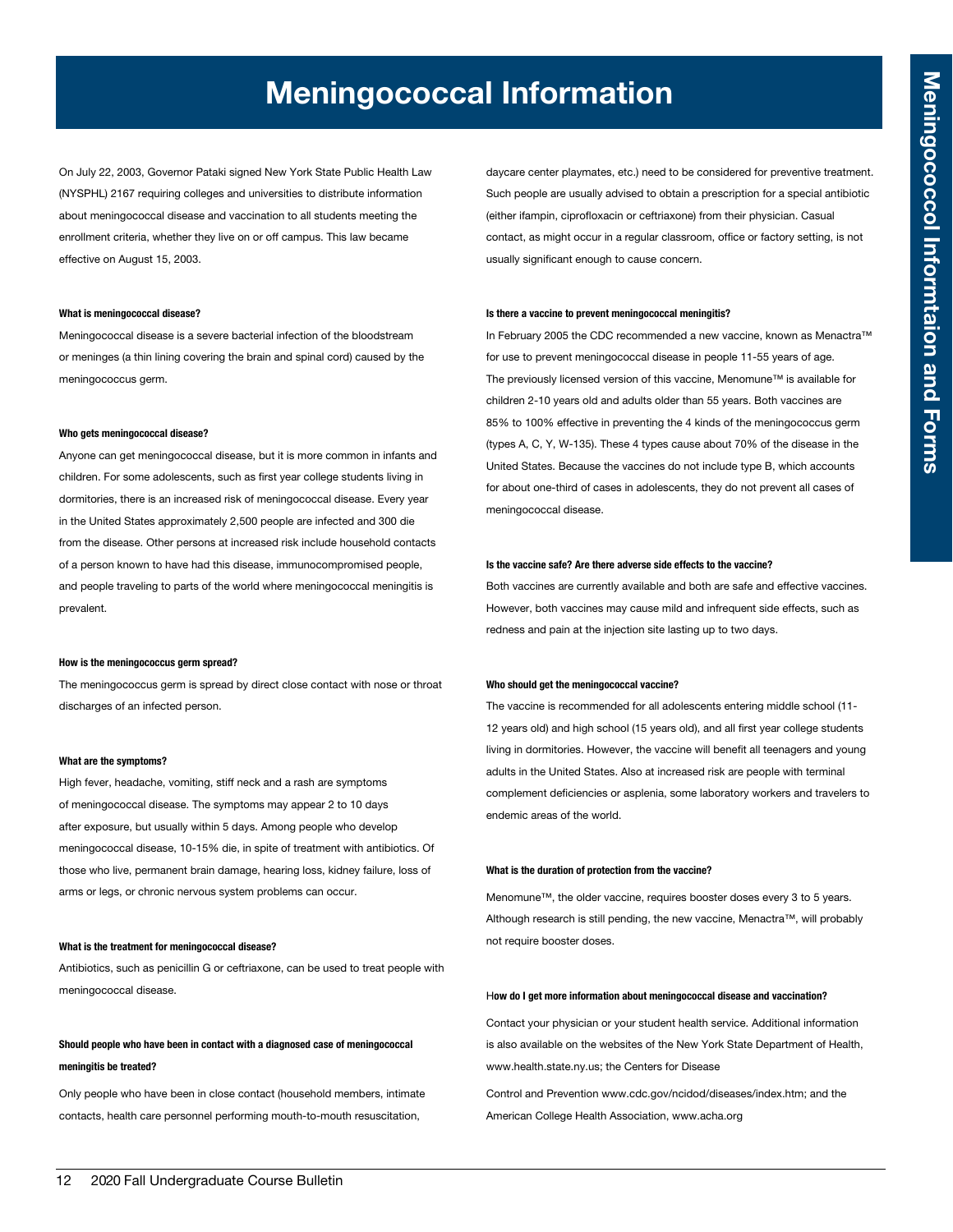## Meningococcal Information

On July 22, 2003, Governor Pataki signed New York State Public Health Law (NYSPHL) 2167 requiring colleges and universities to distribute information about meningococcal disease and vaccination to all students meeting the enrollment criteria, whether they live on or off campus. This law became effective on August 15, 2003.

#### What is meningococcal disease?

Meningococcal disease is a severe bacterial infection of the bloodstream or meninges (a thin lining covering the brain and spinal cord) caused by the meningococcus germ.

#### Who gets meningococcal disease?

Anyone can get meningococcal disease, but it is more common in infants and children. For some adolescents, such as first year college students living in dormitories, there is an increased risk of meningococcal disease. Every year in the United States approximately 2,500 people are infected and 300 die from the disease. Other persons at increased risk include household contacts of a person known to have had this disease, immunocompromised people, and people traveling to parts of the world where meningococcal meningitis is prevalent.

#### How is the meningococcus germ spread?

The meningococcus germ is spread by direct close contact with nose or throat discharges of an infected person.

#### What are the symptoms?

High fever, headache, vomiting, stiff neck and a rash are symptoms of meningococcal disease. The symptoms may appear 2 to 10 days after exposure, but usually within 5 days. Among people who develop meningococcal disease, 10-15% die, in spite of treatment with antibiotics. Of those who live, permanent brain damage, hearing loss, kidney failure, loss of arms or legs, or chronic nervous system problems can occur.

#### What is the treatment for meningococcal disease?

Antibiotics, such as penicillin G or ceftriaxone, can be used to treat people with meningococcal disease.

#### Should people who have been in contact with a diagnosed case of meningococcal meningitis be treated?

Only people who have been in close contact (household members, intimate contacts, health care personnel performing mouth-to-mouth resuscitation,

daycare center playmates, etc.) need to be considered for preventive treatment. Such people are usually advised to obtain a prescription for a special antibiotic (either ifampin, ciprofloxacin or ceftriaxone) from their physician. Casual contact, as might occur in a regular classroom, office or factory setting, is not usually significant enough to cause concern.

#### Is there a vaccine to prevent meningococcal meningitis?

In February 2005 the CDC recommended a new vaccine, known as Menactra™ for use to prevent meningococcal disease in people 11-55 years of age. The previously licensed version of this vaccine, Menomune™ is available for children 2-10 years old and adults older than 55 years. Both vaccines are 85% to 100% effective in preventing the 4 kinds of the meningococcus germ (types A, C, Y, W-135). These 4 types cause about 70% of the disease in the United States. Because the vaccines do not include type B, which accounts for about one-third of cases in adolescents, they do not prevent all cases of meningococcal disease.

#### Is the vaccine safe? Are there adverse side effects to the vaccine?

Both vaccines are currently available and both are safe and effective vaccines. However, both vaccines may cause mild and infrequent side effects, such as redness and pain at the injection site lasting up to two days.

#### Who should get the meningococcal vaccine?

The vaccine is recommended for all adolescents entering middle school (11- 12 years old) and high school (15 years old), and all first year college students living in dormitories. However, the vaccine will benefit all teenagers and young adults in the United States. Also at increased risk are people with terminal complement deficiencies or asplenia, some laboratory workers and travelers to endemic areas of the world.

#### What is the duration of protection from the vaccine?

Menomune™, the older vaccine, requires booster doses every 3 to 5 years. Although research is still pending, the new vaccine, Menactra™, will probably not require booster doses.

#### How do I get more information about meningococcal disease and vaccination?

Contact your physician or your student health service. Additional information is also available on the websites of the New York State Department of Health, www.health.state.ny.us; the Centers for Disease

Control and Prevention www.cdc.gov/ncidod/diseases/index.htm; and the American College Health Association, www.acha.org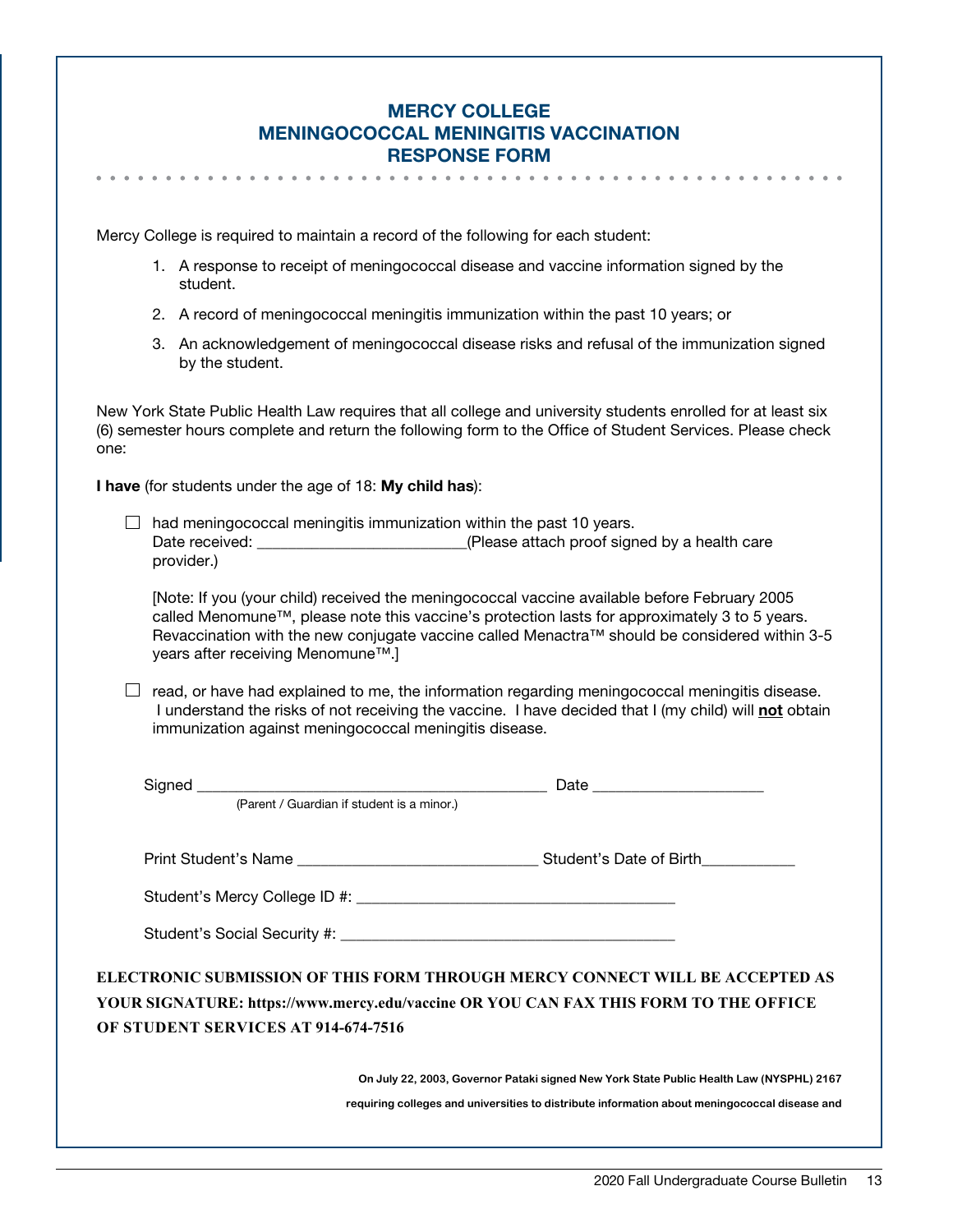#### Mercy College Meningococcal Meningitis Vaccination Response Form

Mercy College is required to maintain a record of the following for each student:

- 1. A response to receipt of meningococcal disease and vaccine information signed by the student.
- 2. A record of meningococcal meningitis immunization within the past 10 years; or
- 3. An acknowledgement of meningococcal disease risks and refusal of the immunization signed by the student.

New York State Public Health Law requires that all college and university students enrolled for at least six (6) semester hours complete and return the following form to the Office of Student Services. Please check one:

I have (for students under the age of 18: My child has):

 $\Box$  had meningococcal meningitis immunization within the past 10 years. Date received: <br>  $(Please attach proof signed by a health care)$ provider.)

[Note: If you (your child) received the meningococcal vaccine available before February 2005 called Menomune™, please note this vaccine's protection lasts for approximately 3 to 5 years. Revaccination with the new conjugate vaccine called Menactra™ should be considered within 3-5 years after receiving Menomune™.]

 $\Box$  read, or have had explained to me, the information regarding meningococcal meningitis disease. I understand the risks of not receiving the vaccine. I have decided that I (my child) will not obtain immunization against meningococcal meningitis disease.

| (Parent / Guardian if student is a minor.) |                                                                                                                                                                                          |
|--------------------------------------------|------------------------------------------------------------------------------------------------------------------------------------------------------------------------------------------|
|                                            |                                                                                                                                                                                          |
|                                            |                                                                                                                                                                                          |
| OF STUDENT SERVICES AT 914-674-7516        | ELECTRONIC SUBMISSION OF THIS FORM THROUGH MERCY CONNECT WILL BE ACCEPTED AS<br>YOUR SIGNATURE: https://www.mercy.edu/vaccine OR YOU CAN FAX THIS FORM TO THE OFFICE                     |
|                                            | On July 22, 2003, Governor Pataki signed New York State Public Health Law (NYSPHL) 2167<br>requiring colleges and universities to distribute information about meningococcal disease and |
|                                            |                                                                                                                                                                                          |